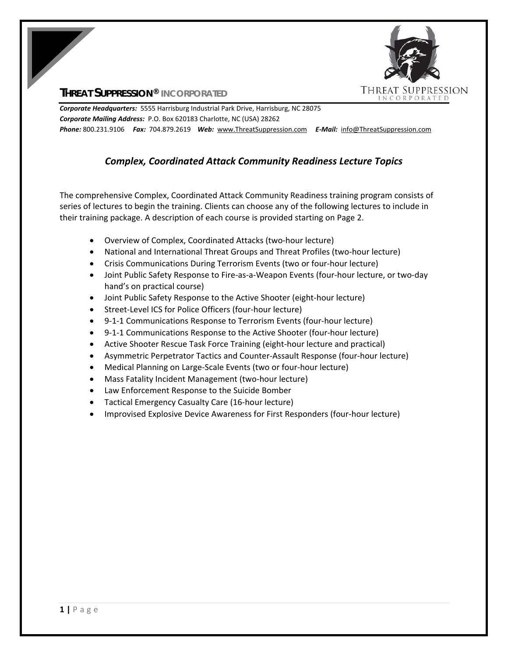

# **THREAT SUPPRESSION® INCORPORATED**

*Corporate Headquarters:* 5555 Harrisburg Industrial Park Drive, Harrisburg, NC 28075 *Corporate Mailing Address:* P.O. Box 620183 Charlotte, NC (USA) 28262 *Phone:* 800.231.9106  *Fax:* 704.879.2619 *Web:* www.ThreatSuppression.com *E‐Mail:*  info@ThreatSuppression.com

# *Complex, Coordinated Attack Community Readiness Lecture Topics*

The comprehensive Complex, Coordinated Attack Community Readiness training program consists of series of lectures to begin the training. Clients can choose any of the following lectures to include in their training package. A description of each course is provided starting on Page 2.

- Overview of Complex, Coordinated Attacks (two-hour lecture)
- National and International Threat Groups and Threat Profiles (two-hour lecture)
- Crisis Communications During Terrorism Events (two or four-hour lecture)
- Joint Public Safety Response to Fire-as-a-Weapon Events (four-hour lecture, or two-day hand's on practical course)
- Joint Public Safety Response to the Active Shooter (eight-hour lecture)
- Street-Level ICS for Police Officers (four-hour lecture)
- 9-1-1 Communications Response to Terrorism Events (four-hour lecture)
- 9-1-1 Communications Response to the Active Shooter (four-hour lecture)
- Active Shooter Rescue Task Force Training (eight-hour lecture and practical)
- Asymmetric Perpetrator Tactics and Counter-Assault Response (four-hour lecture)
- Medical Planning on Large-Scale Events (two or four-hour lecture)
- Mass Fatality Incident Management (two-hour lecture)
- Law Enforcement Response to the Suicide Bomber
- Tactical Emergency Casualty Care (16-hour lecture)
- Improvised Explosive Device Awareness for First Responders (four-hour lecture)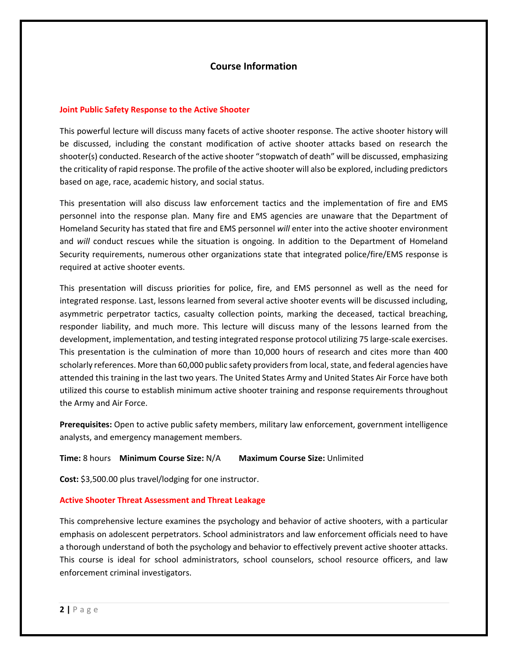# **Course Information**

### **Joint Public Safety Response to the Active Shooter**

This powerful lecture will discuss many facets of active shooter response. The active shooter history will be discussed, including the constant modification of active shooter attacks based on research the shooter(s) conducted. Research of the active shooter "stopwatch of death" will be discussed, emphasizing the criticality of rapid response. The profile of the active shooter will also be explored, including predictors based on age, race, academic history, and social status.

This presentation will also discuss law enforcement tactics and the implementation of fire and EMS personnel into the response plan. Many fire and EMS agencies are unaware that the Department of Homeland Security has stated that fire and EMS personnel *will* enter into the active shooter environment and will conduct rescues while the situation is ongoing. In addition to the Department of Homeland Security requirements, numerous other organizations state that integrated police/fire/EMS response is required at active shooter events.

This presentation will discuss priorities for police, fire, and EMS personnel as well as the need for integrated response. Last, lessons learned from several active shooter events will be discussed including, asymmetric perpetrator tactics, casualty collection points, marking the deceased, tactical breaching, responder liability, and much more. This lecture will discuss many of the lessons learned from the development, implementation, and testing integrated response protocol utilizing 75 large-scale exercises. This presentation is the culmination of more than 10,000 hours of research and cites more than 400 scholarly references. More than 60,000 public safety providers from local, state, and federal agencies have attended this training in the last two years. The United States Army and United States Air Force have both utilized this course to establish minimum active shooter training and response requirements throughout the Army and Air Force.

**Prerequisites:** Open to active public safety members, military law enforcement, government intelligence analysts, and emergency management members.

### **Time:** 8 hours **Minimum Course Size:** N/A **Maximum Course Size:** Unlimited

**Cost:** \$3,500.00 plus travel/lodging for one instructor.

#### **Active Shooter Threat Assessment and Threat Leakage**

This comprehensive lecture examines the psychology and behavior of active shooters, with a particular emphasis on adolescent perpetrators. School administrators and law enforcement officials need to have a thorough understand of both the psychology and behavior to effectively prevent active shooter attacks. This course is ideal for school administrators, school counselors, school resource officers, and law enforcement criminal investigators.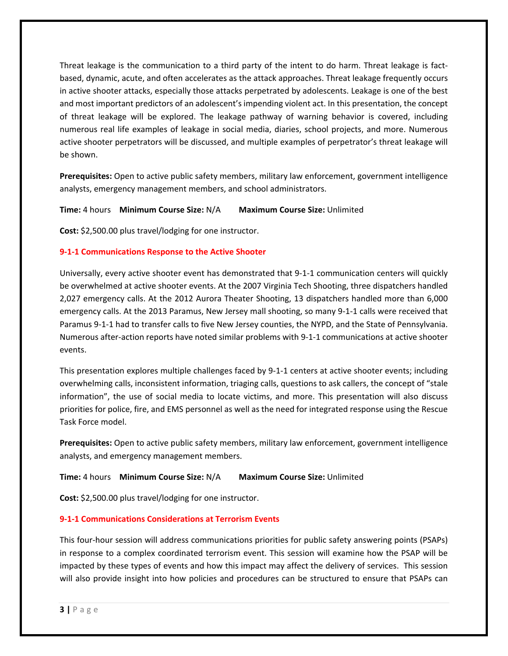Threat leakage is the communication to a third party of the intent to do harm. Threat leakage is fact‐ based, dynamic, acute, and often accelerates as the attack approaches. Threat leakage frequently occurs in active shooter attacks, especially those attacks perpetrated by adolescents. Leakage is one of the best and most important predictors of an adolescent's impending violent act. In this presentation, the concept of threat leakage will be explored. The leakage pathway of warning behavior is covered, including numerous real life examples of leakage in social media, diaries, school projects, and more. Numerous active shooter perpetrators will be discussed, and multiple examples of perpetrator's threat leakage will be shown.

**Prerequisites:** Open to active public safety members, military law enforcement, government intelligence analysts, emergency management members, and school administrators.

**Time:** 4 hours **Minimum Course Size:** N/A **Maximum Course Size:** Unlimited

**Cost:** \$2,500.00 plus travel/lodging for one instructor.

## **9‐1‐1 Communications Response to the Active Shooter**

Universally, every active shooter event has demonstrated that 9‐1‐1 communication centers will quickly be overwhelmed at active shooter events. At the 2007 Virginia Tech Shooting, three dispatchers handled 2,027 emergency calls. At the 2012 Aurora Theater Shooting, 13 dispatchers handled more than 6,000 emergency calls. At the 2013 Paramus, New Jersey mall shooting, so many 9‐1‐1 calls were received that Paramus 9‐1‐1 had to transfer calls to five New Jersey counties, the NYPD, and the State of Pennsylvania. Numerous after‐action reports have noted similar problems with 9‐1‐1 communications at active shooter events.

This presentation explores multiple challenges faced by 9‐1‐1 centers at active shooter events; including overwhelming calls, inconsistent information, triaging calls, questions to ask callers, the concept of "stale information", the use of social media to locate victims, and more. This presentation will also discuss priorities for police, fire, and EMS personnel as well as the need for integrated response using the Rescue Task Force model.

**Prerequisites:** Open to active public safety members, military law enforcement, government intelligence analysts, and emergency management members.

### **Time:** 4 hours **Minimum Course Size:** N/A **Maximum Course Size:** Unlimited

**Cost:** \$2,500.00 plus travel/lodging for one instructor.

## **9‐1‐1 Communications Considerations at Terrorism Events**

This four‐hour session will address communications priorities for public safety answering points (PSAPs) in response to a complex coordinated terrorism event. This session will examine how the PSAP will be impacted by these types of events and how this impact may affect the delivery of services. This session will also provide insight into how policies and procedures can be structured to ensure that PSAPs can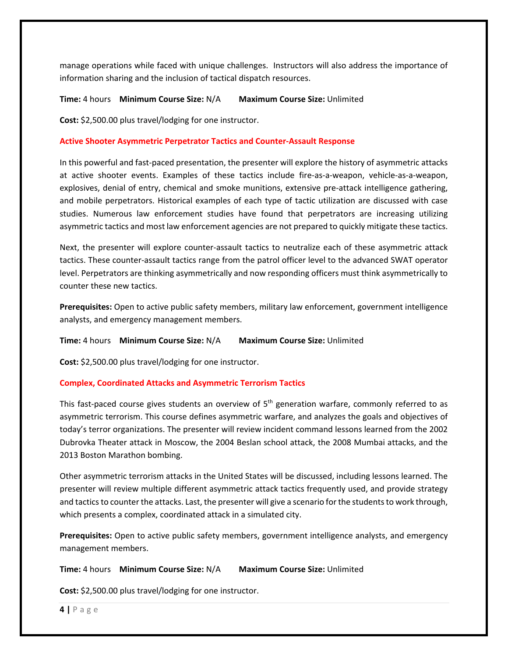manage operations while faced with unique challenges. Instructors will also address the importance of information sharing and the inclusion of tactical dispatch resources.

### **Time:** 4 hours **Minimum Course Size:** N/A **Maximum Course Size:** Unlimited

**Cost:** \$2,500.00 plus travel/lodging for one instructor.

### **Active Shooter Asymmetric Perpetrator Tactics and Counter‐Assault Response**

In this powerful and fast‐paced presentation, the presenter will explore the history of asymmetric attacks at active shooter events. Examples of these tactics include fire‐as‐a‐weapon, vehicle‐as‐a‐weapon, explosives, denial of entry, chemical and smoke munitions, extensive pre-attack intelligence gathering, and mobile perpetrators. Historical examples of each type of tactic utilization are discussed with case studies. Numerous law enforcement studies have found that perpetrators are increasing utilizing asymmetric tactics and most law enforcement agencies are not prepared to quickly mitigate these tactics.

Next, the presenter will explore counter‐assault tactics to neutralize each of these asymmetric attack tactics. These counter‐assault tactics range from the patrol officer level to the advanced SWAT operator level. Perpetrators are thinking asymmetrically and now responding officers must think asymmetrically to counter these new tactics.

**Prerequisites:** Open to active public safety members, military law enforcement, government intelligence analysts, and emergency management members.

#### **Time:** 4 hours **Minimum Course Size:** N/A **Maximum Course Size:** Unlimited

**Cost:** \$2,500.00 plus travel/lodging for one instructor.

### **Complex, Coordinated Attacks and Asymmetric Terrorism Tactics**

This fast-paced course gives students an overview of 5<sup>th</sup> generation warfare, commonly referred to as asymmetric terrorism. This course defines asymmetric warfare, and analyzes the goals and objectives of today's terror organizations. The presenter will review incident command lessons learned from the 2002 Dubrovka Theater attack in Moscow, the 2004 Beslan school attack, the 2008 Mumbai attacks, and the 2013 Boston Marathon bombing.

Other asymmetric terrorism attacks in the United States will be discussed, including lessons learned. The presenter will review multiple different asymmetric attack tactics frequently used, and provide strategy and tactics to counter the attacks. Last, the presenter will give a scenario for the students to work through, which presents a complex, coordinated attack in a simulated city.

**Prerequisites:** Open to active public safety members, government intelligence analysts, and emergency management members.

### **Time:** 4 hours **Minimum Course Size:** N/A **Maximum Course Size:** Unlimited

**Cost:** \$2,500.00 plus travel/lodging for one instructor.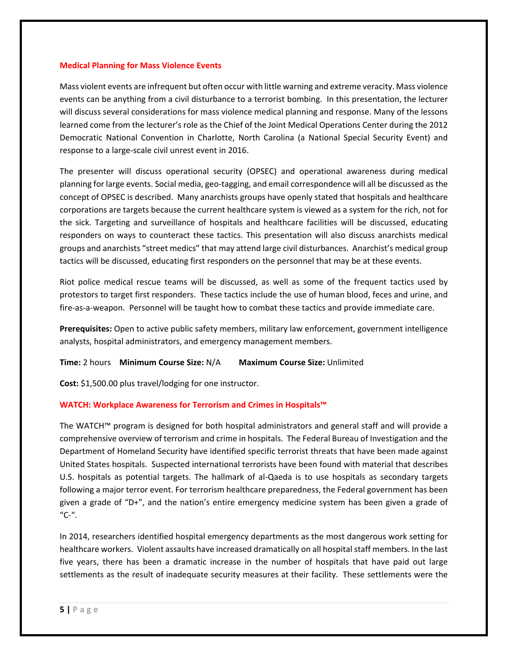#### **Medical Planning for Mass Violence Events**

Mass violent events are infrequent but often occur with little warning and extreme veracity. Mass violence events can be anything from a civil disturbance to a terrorist bombing. In this presentation, the lecturer will discuss several considerations for mass violence medical planning and response. Many of the lessons learned come from the lecturer's role as the Chief of the Joint Medical Operations Center during the 2012 Democratic National Convention in Charlotte, North Carolina (a National Special Security Event) and response to a large‐scale civil unrest event in 2016.

The presenter will discuss operational security (OPSEC) and operational awareness during medical planning for large events. Social media, geo‐tagging, and email correspondence will all be discussed as the concept of OPSEC is described. Many anarchists groups have openly stated that hospitals and healthcare corporations are targets because the current healthcare system is viewed as a system for the rich, not for the sick. Targeting and surveillance of hospitals and healthcare facilities will be discussed, educating responders on ways to counteract these tactics. This presentation will also discuss anarchists medical groups and anarchists "street medics" that may attend large civil disturbances. Anarchist's medical group tactics will be discussed, educating first responders on the personnel that may be at these events.

Riot police medical rescue teams will be discussed, as well as some of the frequent tactics used by protestors to target first responders. These tactics include the use of human blood, feces and urine, and fire‐as‐a‐weapon. Personnel will be taught how to combat these tactics and provide immediate care.

**Prerequisites:** Open to active public safety members, military law enforcement, government intelligence analysts, hospital administrators, and emergency management members.

**Time:** 2 hours **Minimum Course Size:** N/A **Maximum Course Size:** Unlimited

**Cost:** \$1,500.00 plus travel/lodging for one instructor.

### **WATCH: Workplace Awareness for Terrorism and Crimes in Hospitals™**

The WATCH™ program is designed for both hospital administrators and general staff and will provide a comprehensive overview of terrorism and crime in hospitals. The Federal Bureau of Investigation and the Department of Homeland Security have identified specific terrorist threats that have been made against United States hospitals. Suspected international terrorists have been found with material that describes U.S. hospitals as potential targets. The hallmark of al‐Qaeda is to use hospitals as secondary targets following a major terror event. For terrorism healthcare preparedness, the Federal government has been given a grade of "D+", and the nation's entire emergency medicine system has been given a grade of "C‐".

In 2014, researchers identified hospital emergency departments as the most dangerous work setting for healthcare workers. Violent assaults have increased dramatically on all hospital staff members. In the last five years, there has been a dramatic increase in the number of hospitals that have paid out large settlements as the result of inadequate security measures at their facility. These settlements were the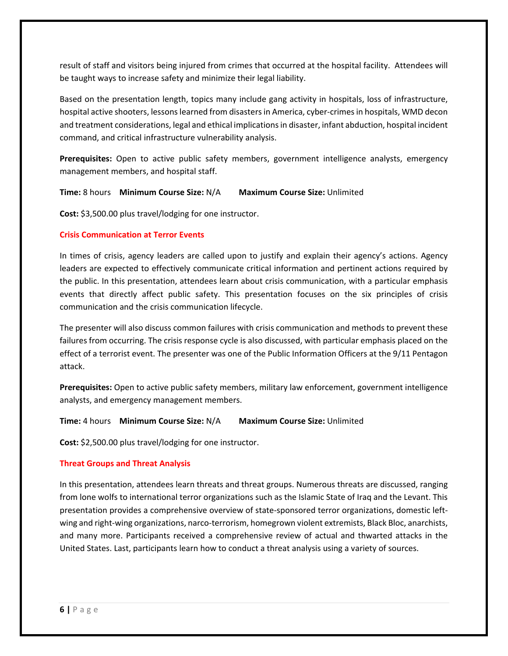result of staff and visitors being injured from crimes that occurred at the hospital facility. Attendees will be taught ways to increase safety and minimize their legal liability.

Based on the presentation length, topics many include gang activity in hospitals, loss of infrastructure, hospital active shooters, lessons learned from disasters in America, cyber-crimes in hospitals, WMD decon and treatment considerations, legal and ethical implications in disaster, infant abduction, hospital incident command, and critical infrastructure vulnerability analysis.

**Prerequisites:** Open to active public safety members, government intelligence analysts, emergency management members, and hospital staff.

### **Time:** 8 hours **Minimum Course Size:** N/A **Maximum Course Size:** Unlimited

**Cost:** \$3,500.00 plus travel/lodging for one instructor.

### **Crisis Communication at Terror Events**

In times of crisis, agency leaders are called upon to justify and explain their agency's actions. Agency leaders are expected to effectively communicate critical information and pertinent actions required by the public. In this presentation, attendees learn about crisis communication, with a particular emphasis events that directly affect public safety. This presentation focuses on the six principles of crisis communication and the crisis communication lifecycle.

The presenter will also discuss common failures with crisis communication and methods to prevent these failures from occurring. The crisis response cycle is also discussed, with particular emphasis placed on the effect of a terrorist event. The presenter was one of the Public Information Officers at the 9/11 Pentagon attack.

**Prerequisites:** Open to active public safety members, military law enforcement, government intelligence analysts, and emergency management members.

**Time:** 4 hours **Minimum Course Size:** N/A **Maximum Course Size:** Unlimited

**Cost:** \$2,500.00 plus travel/lodging for one instructor.

### **Threat Groups and Threat Analysis**

In this presentation, attendees learn threats and threat groups. Numerous threats are discussed, ranging from lone wolfs to international terror organizations such as the Islamic State of Iraq and the Levant. This presentation provides a comprehensive overview of state‐sponsored terror organizations, domestic left‐ wing and right-wing organizations, narco-terrorism, homegrown violent extremists, Black Bloc, anarchists, and many more. Participants received a comprehensive review of actual and thwarted attacks in the United States. Last, participants learn how to conduct a threat analysis using a variety of sources.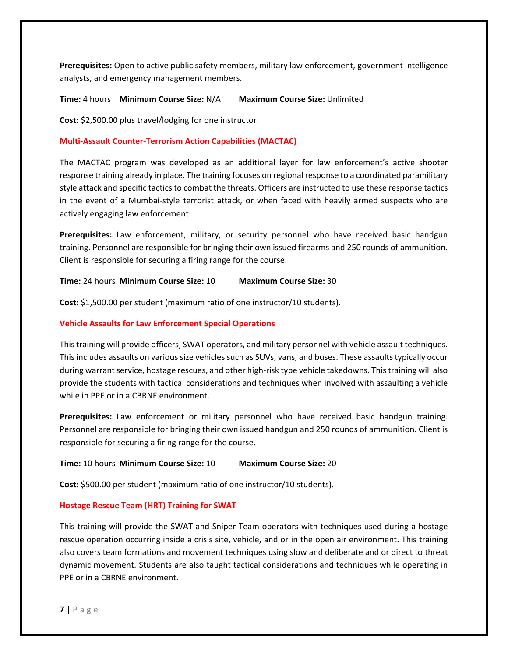**Prerequisites:** Open to active public safety members, military law enforcement, government intelligence analysts, and emergency management members.

**Time:** 4 hours **Minimum Course Size:** N/A **Maximum Course Size:** Unlimited

**Cost:** \$2,500.00 plus travel/lodging for one instructor.

## **Multi‐Assault Counter‐Terrorism Action Capabilities (MACTAC)**

The MACTAC program was developed as an additional layer for law enforcement's active shooter response training already in place. The training focuses on regional response to a coordinated paramilitary style attack and specific tactics to combat the threats. Officers are instructed to use these response tactics in the event of a Mumbai-style terrorist attack, or when faced with heavily armed suspects who are actively engaging law enforcement.

Prerequisites: Law enforcement, military, or security personnel who have received basic handgun training. Personnel are responsible for bringing their own issued firearms and 250 rounds of ammunition. Client is responsible for securing a firing range for the course.

**Time:** 24 hours **Minimum Course Size:** 10 **Maximum Course Size:** 30

**Cost:** \$1,500.00 per student (maximum ratio of one instructor/10 students).

### **Vehicle Assaults for Law Enforcement Special Operations**

This training will provide officers, SWAT operators, and military personnel with vehicle assault techniques. This includes assaults on various size vehicles such as SUVs, vans, and buses. These assaults typically occur during warrant service, hostage rescues, and other high‐risk type vehicle takedowns. This training will also provide the students with tactical considerations and techniques when involved with assaulting a vehicle while in PPE or in a CBRNE environment.

**Prerequisites:** Law enforcement or military personnel who have received basic handgun training. Personnel are responsible for bringing their own issued handgun and 250 rounds of ammunition. Client is responsible for securing a firing range for the course.

### **Time:** 10 hours **Minimum Course Size:** 10 **Maximum Course Size:** 20

**Cost:** \$500.00 per student (maximum ratio of one instructor/10 students).

### **Hostage Rescue Team (HRT) Training for SWAT**

This training will provide the SWAT and Sniper Team operators with techniques used during a hostage rescue operation occurring inside a crisis site, vehicle, and or in the open air environment. This training also covers team formations and movement techniques using slow and deliberate and or direct to threat dynamic movement. Students are also taught tactical considerations and techniques while operating in PPE or in a CBRNE environment.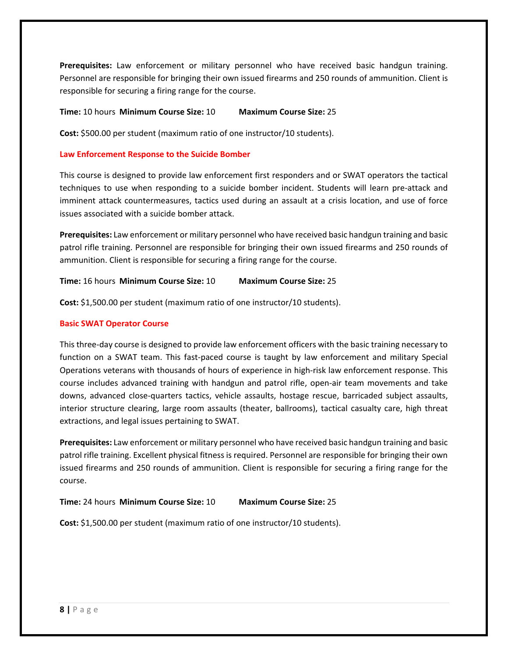Prerequisites: Law enforcement or military personnel who have received basic handgun training. Personnel are responsible for bringing their own issued firearms and 250 rounds of ammunition. Client is responsible for securing a firing range for the course.

**Time:** 10 hours **Minimum Course Size:** 10 **Maximum Course Size:** 25

**Cost:** \$500.00 per student (maximum ratio of one instructor/10 students).

### **Law Enforcement Response to the Suicide Bomber**

This course is designed to provide law enforcement first responders and or SWAT operators the tactical techniques to use when responding to a suicide bomber incident. Students will learn pre‐attack and imminent attack countermeasures, tactics used during an assault at a crisis location, and use of force issues associated with a suicide bomber attack.

**Prerequisites:** Law enforcement or military personnel who have received basic handgun training and basic patrol rifle training. Personnel are responsible for bringing their own issued firearms and 250 rounds of ammunition. Client is responsible for securing a firing range for the course.

**Time:** 16 hours **Minimum Course Size:** 10 **Maximum Course Size:** 25

**Cost:** \$1,500.00 per student (maximum ratio of one instructor/10 students).

### **Basic SWAT Operator Course**

This three‐day course is designed to provide law enforcement officers with the basic training necessary to function on a SWAT team. This fast-paced course is taught by law enforcement and military Special Operations veterans with thousands of hours of experience in high‐risk law enforcement response. This course includes advanced training with handgun and patrol rifle, open-air team movements and take downs, advanced close-quarters tactics, vehicle assaults, hostage rescue, barricaded subject assaults, interior structure clearing, large room assaults (theater, ballrooms), tactical casualty care, high threat extractions, and legal issues pertaining to SWAT.

**Prerequisites:** Law enforcement or military personnel who have received basic handgun training and basic patrol rifle training. Excellent physical fitness is required. Personnel are responsible for bringing their own issued firearms and 250 rounds of ammunition. Client is responsible for securing a firing range for the course.

**Time:** 24 hours **Minimum Course Size:** 10 **Maximum Course Size:** 25

**Cost:** \$1,500.00 per student (maximum ratio of one instructor/10 students).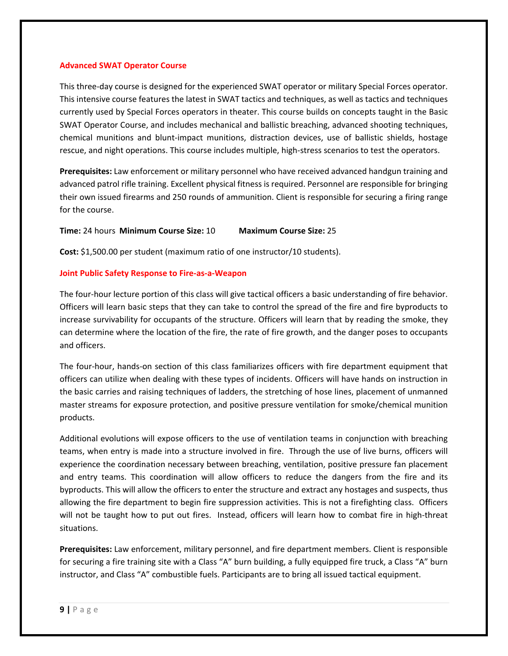#### **Advanced SWAT Operator Course**

This three‐day course is designed for the experienced SWAT operator or military Special Forces operator. This intensive course features the latest in SWAT tactics and techniques, as well as tactics and techniques currently used by Special Forces operators in theater. This course builds on concepts taught in the Basic SWAT Operator Course, and includes mechanical and ballistic breaching, advanced shooting techniques, chemical munitions and blunt‐impact munitions, distraction devices, use of ballistic shields, hostage rescue, and night operations. This course includes multiple, high-stress scenarios to test the operators.

**Prerequisites:** Law enforcement or military personnel who have received advanced handgun training and advanced patrol rifle training. Excellent physical fitness is required. Personnel are responsible for bringing their own issued firearms and 250 rounds of ammunition. Client is responsible for securing a firing range for the course.

### **Time:** 24 hours **Minimum Course Size:** 10 **Maximum Course Size:** 25

**Cost:** \$1,500.00 per student (maximum ratio of one instructor/10 students).

### **Joint Public Safety Response to Fire‐as‐a‐Weapon**

The four‐hour lecture portion of this class will give tactical officers a basic understanding of fire behavior. Officers will learn basic steps that they can take to control the spread of the fire and fire byproducts to increase survivability for occupants of the structure. Officers will learn that by reading the smoke, they can determine where the location of the fire, the rate of fire growth, and the danger poses to occupants and officers.

The four-hour, hands-on section of this class familiarizes officers with fire department equipment that officers can utilize when dealing with these types of incidents. Officers will have hands on instruction in the basic carries and raising techniques of ladders, the stretching of hose lines, placement of unmanned master streams for exposure protection, and positive pressure ventilation for smoke/chemical munition products.

Additional evolutions will expose officers to the use of ventilation teams in conjunction with breaching teams, when entry is made into a structure involved in fire. Through the use of live burns, officers will experience the coordination necessary between breaching, ventilation, positive pressure fan placement and entry teams. This coordination will allow officers to reduce the dangers from the fire and its byproducts. This will allow the officers to enter the structure and extract any hostages and suspects, thus allowing the fire department to begin fire suppression activities. This is not a firefighting class. Officers will not be taught how to put out fires. Instead, officers will learn how to combat fire in high-threat situations.

**Prerequisites:** Law enforcement, military personnel, and fire department members. Client is responsible for securing a fire training site with a Class "A" burn building, a fully equipped fire truck, a Class "A" burn instructor, and Class "A" combustible fuels. Participants are to bring all issued tactical equipment.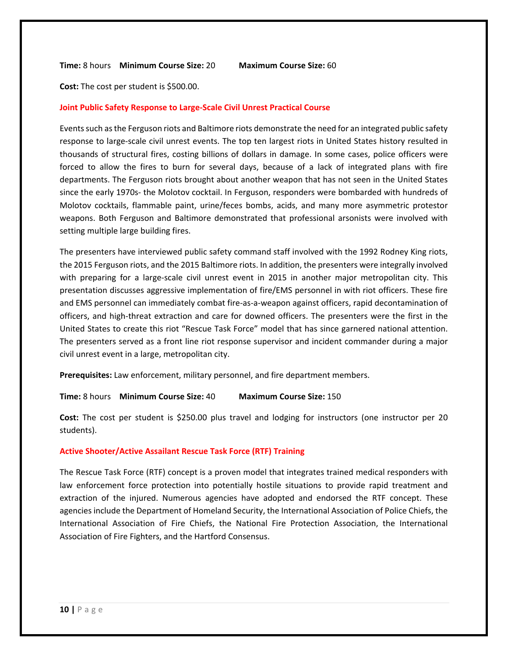**Time:** 8 hours **Minimum Course Size:** 20 **Maximum Course Size:** 60

**Cost:** The cost per student is \$500.00.

#### **Joint Public Safety Response to Large‐Scale Civil Unrest Practical Course**

Events such as the Ferguson riots and Baltimore riots demonstrate the need for an integrated public safety response to large‐scale civil unrest events. The top ten largest riots in United States history resulted in thousands of structural fires, costing billions of dollars in damage. In some cases, police officers were forced to allow the fires to burn for several days, because of a lack of integrated plans with fire departments. The Ferguson riots brought about another weapon that has not seen in the United States since the early 1970s- the Molotov cocktail. In Ferguson, responders were bombarded with hundreds of Molotov cocktails, flammable paint, urine/feces bombs, acids, and many more asymmetric protestor weapons. Both Ferguson and Baltimore demonstrated that professional arsonists were involved with setting multiple large building fires.

The presenters have interviewed public safety command staff involved with the 1992 Rodney King riots, the 2015 Ferguson riots, and the 2015 Baltimore riots. In addition, the presenters were integrally involved with preparing for a large-scale civil unrest event in 2015 in another major metropolitan city. This presentation discusses aggressive implementation of fire/EMS personnel in with riot officers. These fire and EMS personnel can immediately combat fire‐as‐a‐weapon against officers, rapid decontamination of officers, and high‐threat extraction and care for downed officers. The presenters were the first in the United States to create this riot "Rescue Task Force" model that has since garnered national attention. The presenters served as a front line riot response supervisor and incident commander during a major civil unrest event in a large, metropolitan city.

**Prerequisites:** Law enforcement, military personnel, and fire department members.

**Time:** 8 hours **Minimum Course Size:** 40 **Maximum Course Size:** 150

**Cost:** The cost per student is \$250.00 plus travel and lodging for instructors (one instructor per 20 students).

#### **Active Shooter/Active Assailant Rescue Task Force (RTF) Training**

The Rescue Task Force (RTF) concept is a proven model that integrates trained medical responders with law enforcement force protection into potentially hostile situations to provide rapid treatment and extraction of the injured. Numerous agencies have adopted and endorsed the RTF concept. These agencies include the Department of Homeland Security, the International Association of Police Chiefs, the International Association of Fire Chiefs, the National Fire Protection Association, the International Association of Fire Fighters, and the Hartford Consensus.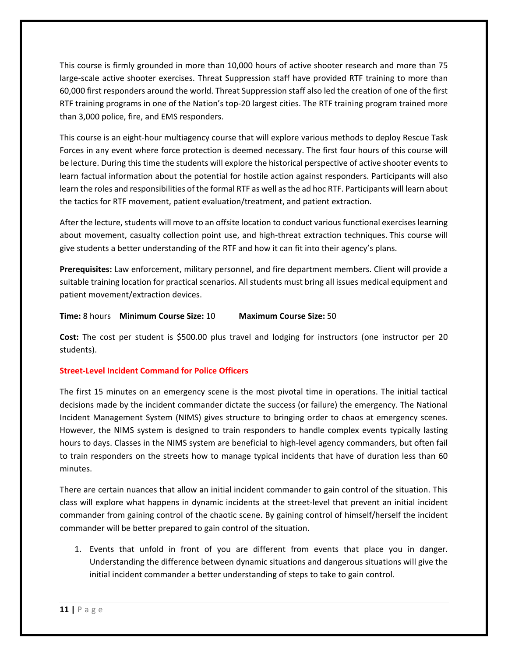This course is firmly grounded in more than 10,000 hours of active shooter research and more than 75 large-scale active shooter exercises. Threat Suppression staff have provided RTF training to more than 60,000 first responders around the world. Threat Suppression staff also led the creation of one of the first RTF training programs in one of the Nation's top‐20 largest cities. The RTF training program trained more than 3,000 police, fire, and EMS responders.

This course is an eight‐hour multiagency course that will explore various methods to deploy Rescue Task Forces in any event where force protection is deemed necessary. The first four hours of this course will be lecture. During this time the students will explore the historical perspective of active shooter events to learn factual information about the potential for hostile action against responders. Participants will also learn the roles and responsibilities of the formal RTF as well as the ad hoc RTF. Participants will learn about the tactics for RTF movement, patient evaluation/treatment, and patient extraction.

After the lecture, students will move to an offsite location to conduct various functional exercises learning about movement, casualty collection point use, and high-threat extraction techniques. This course will give students a better understanding of the RTF and how it can fit into their agency's plans.

**Prerequisites:** Law enforcement, military personnel, and fire department members. Client will provide a suitable training location for practical scenarios. All students must bring all issues medical equipment and patient movement/extraction devices.

**Time:** 8 hours **Minimum Course Size:** 10 **Maximum Course Size:** 50

**Cost:** The cost per student is \$500.00 plus travel and lodging for instructors (one instructor per 20 students).

## **Street‐Level Incident Command for Police Officers**

The first 15 minutes on an emergency scene is the most pivotal time in operations. The initial tactical decisions made by the incident commander dictate the success (or failure) the emergency. The National Incident Management System (NIMS) gives structure to bringing order to chaos at emergency scenes. However, the NIMS system is designed to train responders to handle complex events typically lasting hours to days. Classes in the NIMS system are beneficial to high-level agency commanders, but often fail to train responders on the streets how to manage typical incidents that have of duration less than 60 minutes.

There are certain nuances that allow an initial incident commander to gain control of the situation. This class will explore what happens in dynamic incidents at the street‐level that prevent an initial incident commander from gaining control of the chaotic scene. By gaining control of himself/herself the incident commander will be better prepared to gain control of the situation.

1. Events that unfold in front of you are different from events that place you in danger. Understanding the difference between dynamic situations and dangerous situations will give the initial incident commander a better understanding of steps to take to gain control.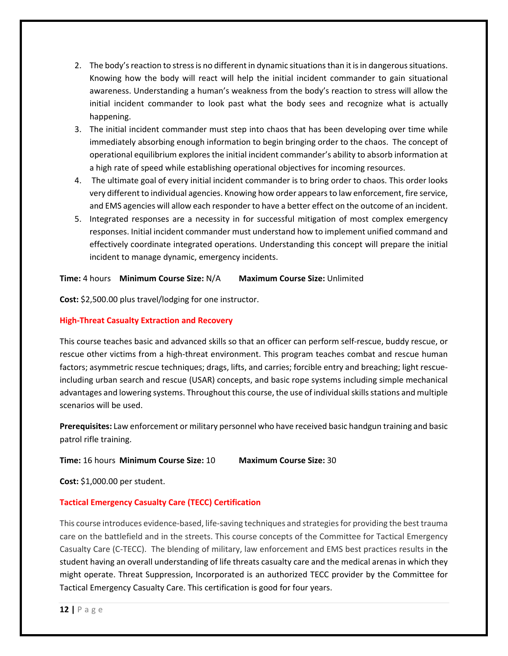- 2. The body's reaction to stress is no different in dynamic situations than it is in dangerous situations. Knowing how the body will react will help the initial incident commander to gain situational awareness. Understanding a human's weakness from the body's reaction to stress will allow the initial incident commander to look past what the body sees and recognize what is actually happening.
- 3. The initial incident commander must step into chaos that has been developing over time while immediately absorbing enough information to begin bringing order to the chaos. The concept of operational equilibrium explores the initial incident commander's ability to absorb information at a high rate of speed while establishing operational objectives for incoming resources.
- 4. The ultimate goal of every initial incident commander is to bring order to chaos. This order looks very different to individual agencies. Knowing how order appears to law enforcement, fire service, and EMS agencies will allow each responder to have a better effect on the outcome of an incident.
- 5. Integrated responses are a necessity in for successful mitigation of most complex emergency responses. Initial incident commander must understand how to implement unified command and effectively coordinate integrated operations. Understanding this concept will prepare the initial incident to manage dynamic, emergency incidents.

## **Time:** 4 hours **Minimum Course Size:** N/A **Maximum Course Size:** Unlimited

**Cost:** \$2,500.00 plus travel/lodging for one instructor.

## **High‐Threat Casualty Extraction and Recovery**

This course teaches basic and advanced skills so that an officer can perform self‐rescue, buddy rescue, or rescue other victims from a high-threat environment. This program teaches combat and rescue human factors; asymmetric rescue techniques; drags, lifts, and carries; forcible entry and breaching; light rescue‐ including urban search and rescue (USAR) concepts, and basic rope systems including simple mechanical advantages and lowering systems. Throughout this course, the use of individual skills stations and multiple scenarios will be used.

**Prerequisites:** Law enforcement or military personnel who have received basic handgun training and basic patrol rifle training.

### **Time:** 16 hours **Minimum Course Size:** 10 **Maximum Course Size:** 30

**Cost:** \$1,000.00 per student.

## **Tactical Emergency Casualty Care (TECC) Certification**

This course introduces evidence‐based, life‐saving techniques and strategies for providing the best trauma care on the battlefield and in the streets. This course concepts of the Committee for Tactical Emergency Casualty Care (C‐TECC). The blending of military, law enforcement and EMS best practices results in the student having an overall understanding of life threats casualty care and the medical arenas in which they might operate. Threat Suppression, Incorporated is an authorized TECC provider by the Committee for Tactical Emergency Casualty Care. This certification is good for four years.